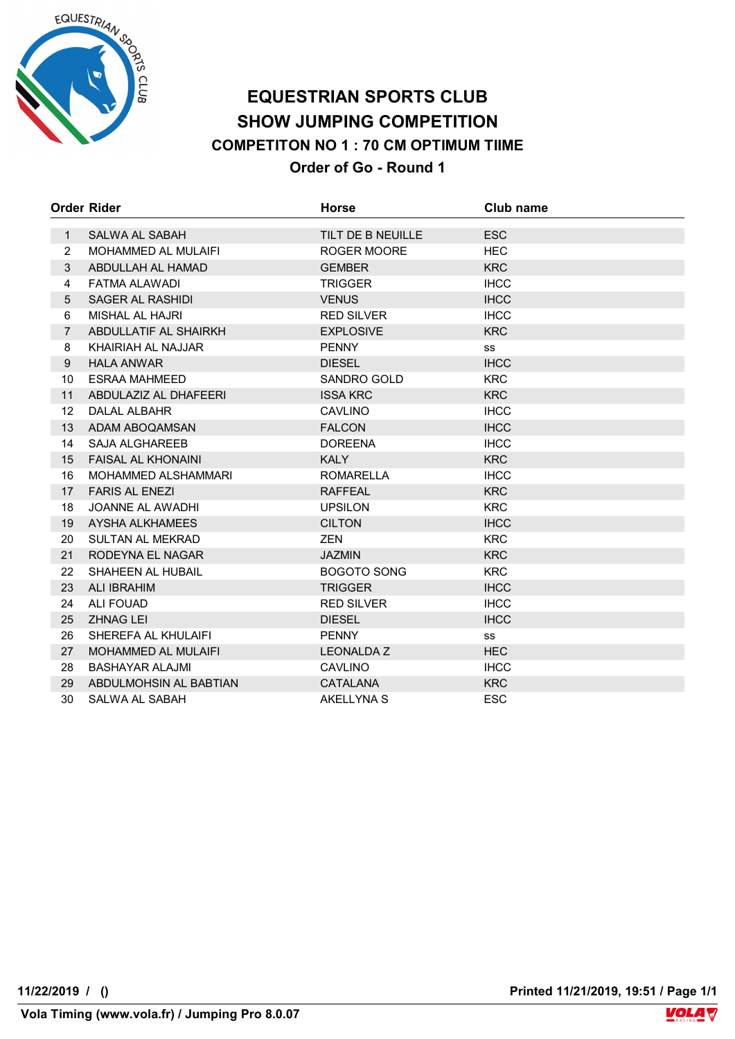

## **EQUESTRIAN SPORTS CLUB SHOW JUMPING COMPETITION COMPETITON NO 1 : 70 CM OPTIMUM TIIME Order of Go - Round 1**

|                | <b>Order Rider</b>         | <b>Horse</b>       | Club name   |
|----------------|----------------------------|--------------------|-------------|
|                | SALWA AL SABAH             | TILT DE B NEUILLE  | <b>ESC</b>  |
| $\mathbf{1}$   |                            |                    |             |
| $\overline{2}$ | <b>MOHAMMED AL MULAIFI</b> | ROGER MOORE        | <b>HEC</b>  |
| 3              | ABDULLAH AL HAMAD          | <b>GEMBER</b>      | <b>KRC</b>  |
| 4              | FATMA ALAWADI              | <b>TRIGGER</b>     | <b>IHCC</b> |
| 5              | SAGER AL RASHIDI           | <b>VENUS</b>       | <b>IHCC</b> |
| 6              | <b>MISHAL AL HAJRI</b>     | <b>RED SILVER</b>  | <b>IHCC</b> |
| $\overline{7}$ | ABDULLATIF AL SHAIRKH      | <b>EXPLOSIVE</b>   | <b>KRC</b>  |
| 8              | KHAIRIAH AL NAJJAR         | <b>PENNY</b>       | SS          |
| 9              | <b>HALA ANWAR</b>          | <b>DIESEL</b>      | <b>IHCC</b> |
| 10             | <b>ESRAA MAHMEED</b>       | SANDRO GOLD        | <b>KRC</b>  |
| 11             | ABDULAZIZ AL DHAFEERI      | <b>ISSA KRC</b>    | <b>KRC</b>  |
| 12             | DALAL ALBAHR               | <b>CAVLINO</b>     | <b>IHCC</b> |
| 13             | ADAM ABOQAMSAN             | <b>FALCON</b>      | <b>IHCC</b> |
| 14             | <b>SAJA ALGHAREEB</b>      | <b>DOREENA</b>     | <b>IHCC</b> |
| 15             | <b>FAISAL AL KHONAINI</b>  | <b>KALY</b>        | <b>KRC</b>  |
| 16             | <b>MOHAMMED ALSHAMMARI</b> | <b>ROMARELLA</b>   | <b>IHCC</b> |
| 17             | <b>FARIS AL ENEZI</b>      | <b>RAFFEAL</b>     | <b>KRC</b>  |
| 18             | <b>JOANNE AL AWADHI</b>    | <b>UPSILON</b>     | <b>KRC</b>  |
| 19             | AYSHA ALKHAMEES            | <b>CILTON</b>      | <b>IHCC</b> |
| 20             | <b>SULTAN AL MEKRAD</b>    | <b>ZEN</b>         | <b>KRC</b>  |
| 21             | RODEYNA EL NAGAR           | <b>JAZMIN</b>      | <b>KRC</b>  |
| 22             | SHAHEEN AL HUBAIL          | <b>BOGOTO SONG</b> | <b>KRC</b>  |
| 23             | <b>ALI IBRAHIM</b>         | <b>TRIGGER</b>     | <b>IHCC</b> |
| 24             | <b>ALI FOUAD</b>           | <b>RED SILVER</b>  | <b>IHCC</b> |
| 25             | <b>ZHNAG LEI</b>           | <b>DIESEL</b>      | <b>IHCC</b> |
| 26             | SHEREFA AL KHULAIFI        | <b>PENNY</b>       | SS          |
| 27             | MOHAMMED AL MULAIFI        | <b>LEONALDA Z</b>  | <b>HEC</b>  |
| 28             | <b>BASHAYAR ALAJMI</b>     | <b>CAVLINO</b>     | <b>IHCC</b> |
| 29             | ABDULMOHSIN AL BABTIAN     | <b>CATALANA</b>    | <b>KRC</b>  |
| 30             | SALWA AL SABAH             | AKELLYNA S         | <b>ESC</b>  |

**11/22/2019 / () Printed 11/21/2019, 19:51 / Page 1/1**

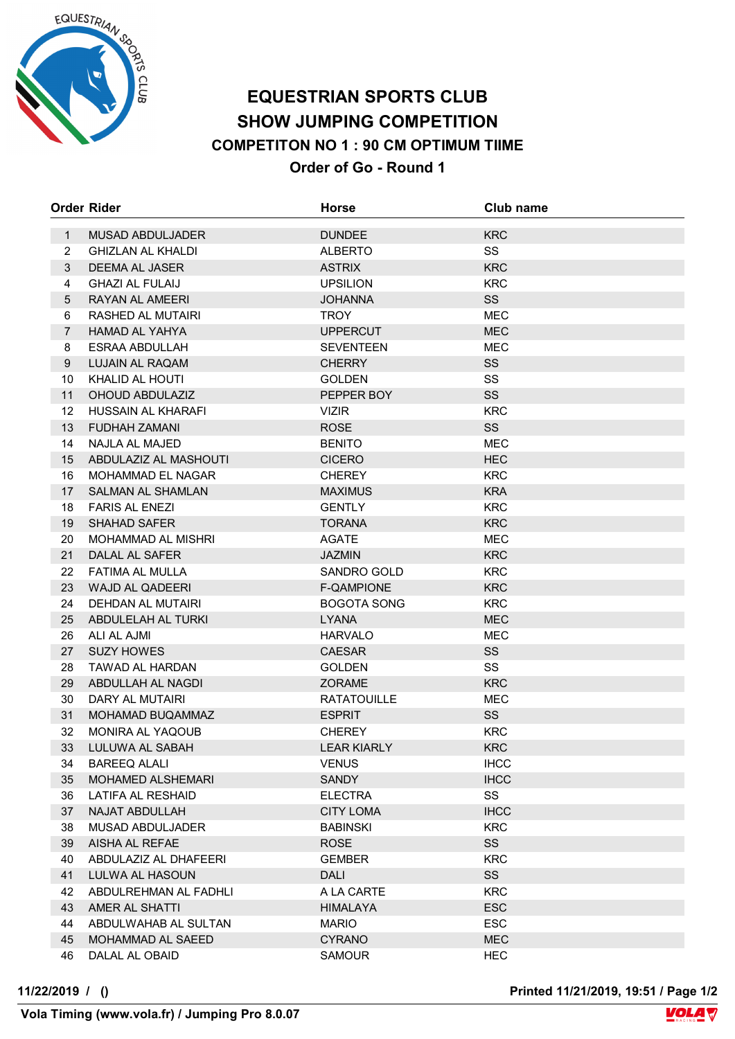

### **EQUESTRIAN SPORTS CLUB SHOW JUMPING COMPETITION COMPETITON NO 1 : 90 CM OPTIMUM TIIME Order of Go - Round 1**

|                | <b>Order Rider</b>                   | <b>Horse</b>                   | Club name        |
|----------------|--------------------------------------|--------------------------------|------------------|
| $\mathbf{1}$   | <b>MUSAD ABDULJADER</b>              | <b>DUNDEE</b>                  | <b>KRC</b>       |
| $\overline{2}$ | <b>GHIZLAN AL KHALDI</b>             | <b>ALBERTO</b>                 | SS               |
| 3              | <b>DEEMA AL JASER</b>                | <b>ASTRIX</b>                  | <b>KRC</b>       |
| 4              | <b>GHAZI AL FULAIJ</b>               | <b>UPSILION</b>                | <b>KRC</b>       |
| 5              | RAYAN AL AMEERI                      | <b>JOHANNA</b>                 | SS               |
| 6              | RASHED AL MUTAIRI                    | TROY                           | <b>MEC</b>       |
| $\overline{7}$ | HAMAD AL YAHYA                       | <b>UPPERCUT</b>                | <b>MEC</b>       |
| 8              | ESRAA ABDULLAH                       | <b>SEVENTEEN</b>               | <b>MEC</b>       |
| 9              | LUJAIN AL RAQAM                      | <b>CHERRY</b>                  | SS               |
| 10             | KHALID AL HOUTI                      | <b>GOLDEN</b>                  | SS               |
| 11             | <b>OHOUD ABDULAZIZ</b>               | PEPPER BOY                     | SS               |
| 12             | HUSSAIN AL KHARAFI                   | <b>VIZIR</b>                   | <b>KRC</b>       |
| 13             | FUDHAH ZAMANI                        | <b>ROSE</b>                    | SS               |
| 14             | NAJLA AL MAJED                       | <b>BENITO</b>                  | <b>MEC</b>       |
| 15             | ABDULAZIZ AL MASHOUTI                | <b>CICERO</b>                  | <b>HEC</b>       |
| 16             | MOHAMMAD EL NAGAR                    | <b>CHEREY</b>                  | <b>KRC</b>       |
| 17             | <b>SALMAN AL SHAMLAN</b>             | <b>MAXIMUS</b>                 | <b>KRA</b>       |
| 18             | <b>FARIS AL ENEZI</b>                | <b>GENTLY</b>                  | <b>KRC</b>       |
| 19             | <b>SHAHAD SAFER</b>                  | <b>TORANA</b>                  | <b>KRC</b>       |
| 20             | <b>MOHAMMAD AL MISHRI</b>            | <b>AGATE</b>                   | <b>MEC</b>       |
| 21             | DALAL AL SAFER                       | <b>JAZMIN</b>                  | <b>KRC</b>       |
| 22             | FATIMA AL MULLA                      | SANDRO GOLD                    | <b>KRC</b>       |
| 23             | <b>WAJD AL QADEERI</b>               | F-QAMPIONE                     | <b>KRC</b>       |
| 24             | DEHDAN AL MUTAIRI                    | <b>BOGOTA SONG</b>             | <b>KRC</b>       |
| 25             | ABDULELAH AL TURKI                   | <b>LYANA</b>                   | <b>MEC</b>       |
| 26             | ALI AL AJMI                          | <b>HARVALO</b>                 | MEC              |
| 27             | <b>SUZY HOWES</b>                    | <b>CAESAR</b>                  | SS               |
| 28             | <b>TAWAD AL HARDAN</b>               | <b>GOLDEN</b>                  | SS               |
| 29             | ABDULLAH AL NAGDI                    | <b>ZORAME</b>                  | <b>KRC</b>       |
| 30             | DARY AL MUTAIRI                      | <b>RATATOUILLE</b>             | <b>MEC</b>       |
| 31<br>32       | MOHAMAD BUQAMMAZ<br>MONIRA AL YAQOUB | <b>ESPRIT</b><br><b>CHEREY</b> | SS<br><b>KRC</b> |
| 33             | LULUWA AL SABAH                      | <b>LEAR KIARLY</b>             | <b>KRC</b>       |
| 34             | <b>BAREEQ ALALI</b>                  | <b>VENUS</b>                   | <b>IHCC</b>      |
| 35             | <b>MOHAMED ALSHEMARI</b>             | SANDY                          | <b>IHCC</b>      |
| 36             | LATIFA AL RESHAID                    | <b>ELECTRA</b>                 | SS               |
| 37             | NAJAT ABDULLAH                       | <b>CITY LOMA</b>               | <b>IHCC</b>      |
| 38             | MUSAD ABDULJADER                     | <b>BABINSKI</b>                | <b>KRC</b>       |
| 39             | AISHA AL REFAE                       | <b>ROSE</b>                    | SS               |
| 40             | ABDULAZIZ AL DHAFEERI                | <b>GEMBER</b>                  | <b>KRC</b>       |
| 41             | LULWA AL HASOUN                      | <b>DALI</b>                    | SS               |
| 42             | ABDULREHMAN AL FADHLI                | A LA CARTE                     | <b>KRC</b>       |
| 43             | AMER AL SHATTI                       | HIMALAYA                       | <b>ESC</b>       |
| 44             | ABDULWAHAB AL SULTAN                 | <b>MARIO</b>                   | <b>ESC</b>       |
| 45             | MOHAMMAD AL SAEED                    | <b>CYRANO</b>                  | <b>MEC</b>       |
| 46             | DALAL AL OBAID                       | <b>SAMOUR</b>                  | <b>HEC</b>       |
|                |                                      |                                |                  |

**11/22/2019 / () Printed 11/21/2019, 19:51 / Page 1/2**

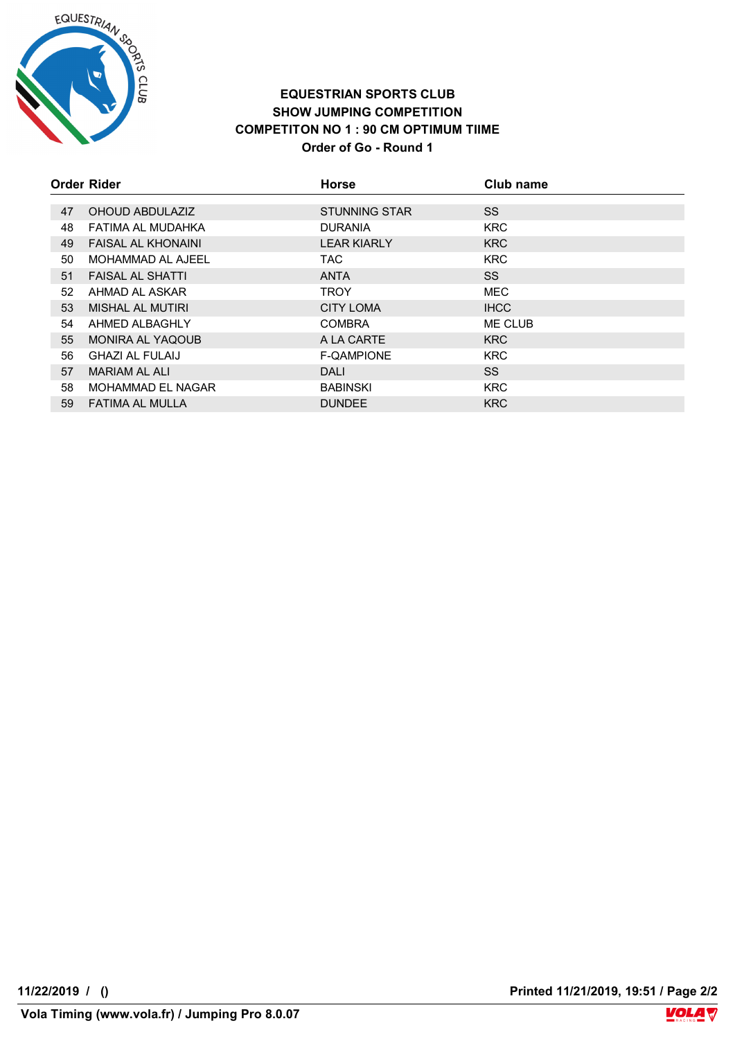

#### **EQUESTRIAN SPORTS CLUB SHOW JUMPING COMPETITION COMPETITON NO 1 : 90 CM OPTIMUM TIIME Order of Go - Round 1**

|    | <b>Order Rider</b>        | <b>Horse</b>         | Club name   |
|----|---------------------------|----------------------|-------------|
|    |                           |                      |             |
| 47 | OHOUD ABDULAZIZ           | <b>STUNNING STAR</b> | SS.         |
| 48 | FATIMA AL MUDAHKA         | <b>DURANIA</b>       | <b>KRC</b>  |
| 49 | <b>FAISAL AL KHONAINI</b> | <b>LEAR KIARLY</b>   | <b>KRC</b>  |
| 50 | MOHAMMAD AL AJEEL         | TAC.                 | <b>KRC</b>  |
| 51 | <b>FAISAL AL SHATTI</b>   | <b>ANTA</b>          | <b>SS</b>   |
| 52 | AHMAD AL ASKAR            | <b>TROY</b>          | <b>MEC</b>  |
| 53 | MISHAL AL MUTIRI          | <b>CITY LOMA</b>     | <b>IHCC</b> |
| 54 | AHMED ALBAGHLY            | <b>COMBRA</b>        | ME CLUB     |
| 55 | <b>MONIRA AL YAQOUB</b>   | A LA CARTE           | <b>KRC</b>  |
| 56 | <b>GHAZI AL FULAIJ</b>    | <b>F-QAMPIONE</b>    | <b>KRC</b>  |
| 57 | <b>MARIAM AL ALI</b>      | DALI                 | SS.         |
| 58 | MOHAMMAD EL NAGAR         | <b>BABINSKI</b>      | <b>KRC</b>  |
| 59 | <b>FATIMA AL MULLA</b>    | <b>DUNDEE</b>        | <b>KRC</b>  |

**11/22/2019 / () Printed 11/21/2019, 19:51 / Page 2/2**

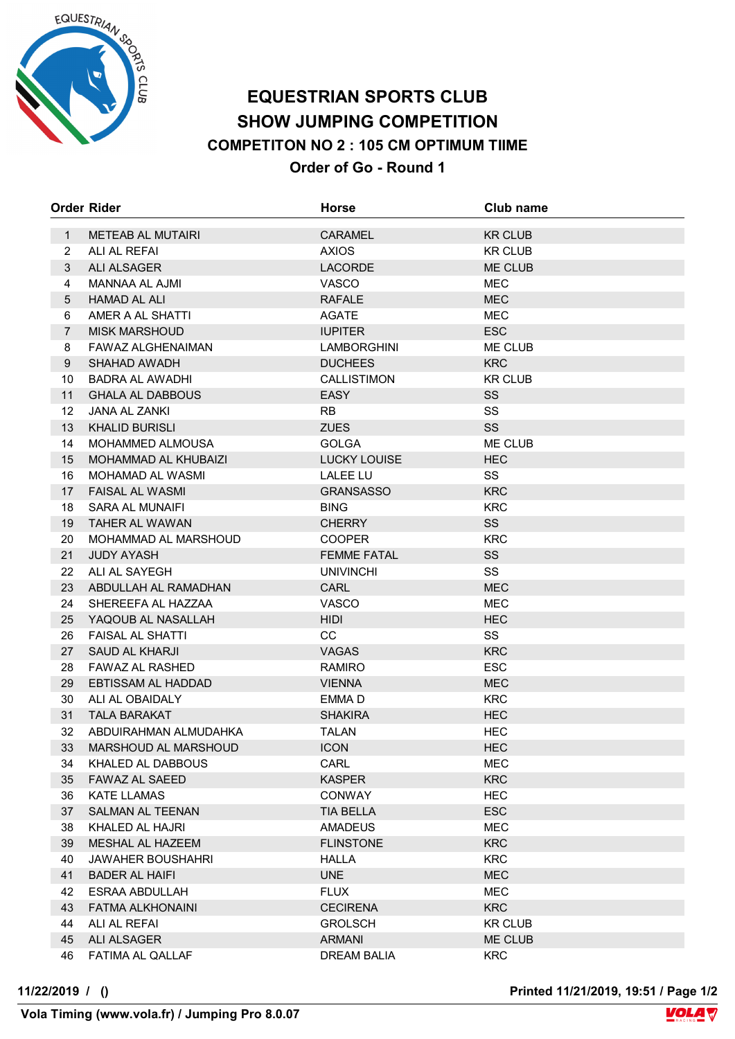

## **EQUESTRIAN SPORTS CLUB SHOW JUMPING COMPETITION COMPETITON NO 2 : 105 CM OPTIMUM TIIME Order of Go - Round 1**

|                | <b>Order Rider</b>                            | <b>Horse</b>                | Club name                |
|----------------|-----------------------------------------------|-----------------------------|--------------------------|
| $\mathbf{1}$   | METEAB AL MUTAIRI                             | <b>CARAMEL</b>              | <b>KR CLUB</b>           |
| $\overline{2}$ | ALI AL REFAI                                  | <b>AXIOS</b>                | <b>KR CLUB</b>           |
| 3              | <b>ALI ALSAGER</b>                            | <b>LACORDE</b>              | ME CLUB                  |
| 4              | MANNAA AL AJMI                                | <b>VASCO</b>                | <b>MEC</b>               |
| 5              | <b>HAMAD AL ALI</b>                           | <b>RAFALE</b>               | <b>MEC</b>               |
| 6              | AMER A AL SHATTI                              | <b>AGATE</b>                | <b>MEC</b>               |
| $\overline{7}$ | <b>MISK MARSHOUD</b>                          | <b>IUPITER</b>              | ESC                      |
| 8              | FAWAZ ALGHENAIMAN                             | <b>LAMBORGHINI</b>          | ME CLUB                  |
| 9              | <b>SHAHAD AWADH</b>                           | <b>DUCHEES</b>              | <b>KRC</b>               |
| 10             | <b>BADRA AL AWADHI</b>                        | <b>CALLISTIMON</b>          | <b>KR CLUB</b>           |
| 11             | <b>GHALA AL DABBOUS</b>                       | <b>EASY</b>                 | <b>SS</b>                |
| 12             | <b>JANA AL ZANKI</b>                          | <b>RB</b>                   | SS                       |
| 13             | <b>KHALID BURISLI</b>                         | <b>ZUES</b>                 | <b>SS</b>                |
| 14             | <b>MOHAMMED ALMOUSA</b>                       | <b>GOLGA</b>                | ME CLUB                  |
| 15             | <b>MOHAMMAD AL KHUBAIZI</b>                   | <b>LUCKY LOUISE</b>         | <b>HEC</b>               |
| 16             | <b>MOHAMAD AL WASMI</b>                       | <b>LALEE LU</b>             | SS                       |
| 17             | <b>FAISAL AL WASMI</b>                        | <b>GRANSASSO</b>            | <b>KRC</b>               |
| 18             | <b>SARA AL MUNAIFI</b>                        | <b>BING</b>                 | <b>KRC</b>               |
| 19             | <b>TAHER AL WAWAN</b>                         | <b>CHERRY</b>               | <b>SS</b>                |
| 20             | MOHAMMAD AL MARSHOUD                          | <b>COOPER</b>               | <b>KRC</b>               |
| 21             | <b>JUDY AYASH</b>                             | <b>FEMME FATAL</b>          | SS                       |
| 22             | ALI AL SAYEGH                                 | <b>UNIVINCHI</b>            | SS                       |
| 23             | ABDULLAH AL RAMADHAN                          | <b>CARL</b>                 | <b>MEC</b>               |
| 24             | SHEREEFA AL HAZZAA                            | <b>VASCO</b>                | <b>MEC</b>               |
| 25             | YAQOUB AL NASALLAH                            | <b>HIDI</b>                 | <b>HEC</b>               |
| 26             | <b>FAISAL AL SHATTI</b>                       | <b>CC</b>                   | SS                       |
| 27             | SAUD AL KHARJI                                | <b>VAGAS</b>                | <b>KRC</b>               |
| 28             | <b>FAWAZ AL RASHED</b>                        | <b>RAMIRO</b>               | <b>ESC</b>               |
| 29             | EBTISSAM AL HADDAD                            | <b>VIENNA</b>               | <b>MEC</b>               |
| 30             | ALI AL OBAIDALY                               | EMMA D                      | <b>KRC</b>               |
| 31<br>32       | <b>TALA BARAKAT</b>                           | <b>SHAKIRA</b>              | <b>HEC</b>               |
| 33             | ABDUIRAHMAN ALMUDAHKA<br>MARSHOUD AL MARSHOUD | <b>TALAN</b><br><b>ICON</b> | <b>HEC</b><br><b>HEC</b> |
| 34             | KHALED AL DABBOUS                             | CARL                        | MEC                      |
| 35             | FAWAZ AL SAEED                                | <b>KASPER</b>               | <b>KRC</b>               |
| 36             | KATE LLAMAS                                   | <b>CONWAY</b>               | <b>HEC</b>               |
| 37             | SALMAN AL TEENAN                              | TIA BELLA                   | <b>ESC</b>               |
| 38             | KHALED AL HAJRI                               | <b>AMADEUS</b>              | MEC                      |
| 39             | MESHAL AL HAZEEM                              | <b>FLINSTONE</b>            | <b>KRC</b>               |
| 40             | JAWAHER BOUSHAHRI                             | <b>HALLA</b>                | <b>KRC</b>               |
| 41             | <b>BADER AL HAIFI</b>                         | <b>UNE</b>                  | <b>MEC</b>               |
| 42             | ESRAA ABDULLAH                                | <b>FLUX</b>                 | MEC                      |
| 43             | FATMA ALKHONAINI                              | <b>CECIRENA</b>             | <b>KRC</b>               |
| 44             | ALI AL REFAI                                  | <b>GROLSCH</b>              | <b>KR CLUB</b>           |
| 45             | ALI ALSAGER                                   | <b>ARMANI</b>               | ME CLUB                  |
| 46             | FATIMA AL QALLAF                              | <b>DREAM BALIA</b>          | <b>KRC</b>               |

**11/22/2019 / () Printed 11/21/2019, 19:51 / Page 1/2**

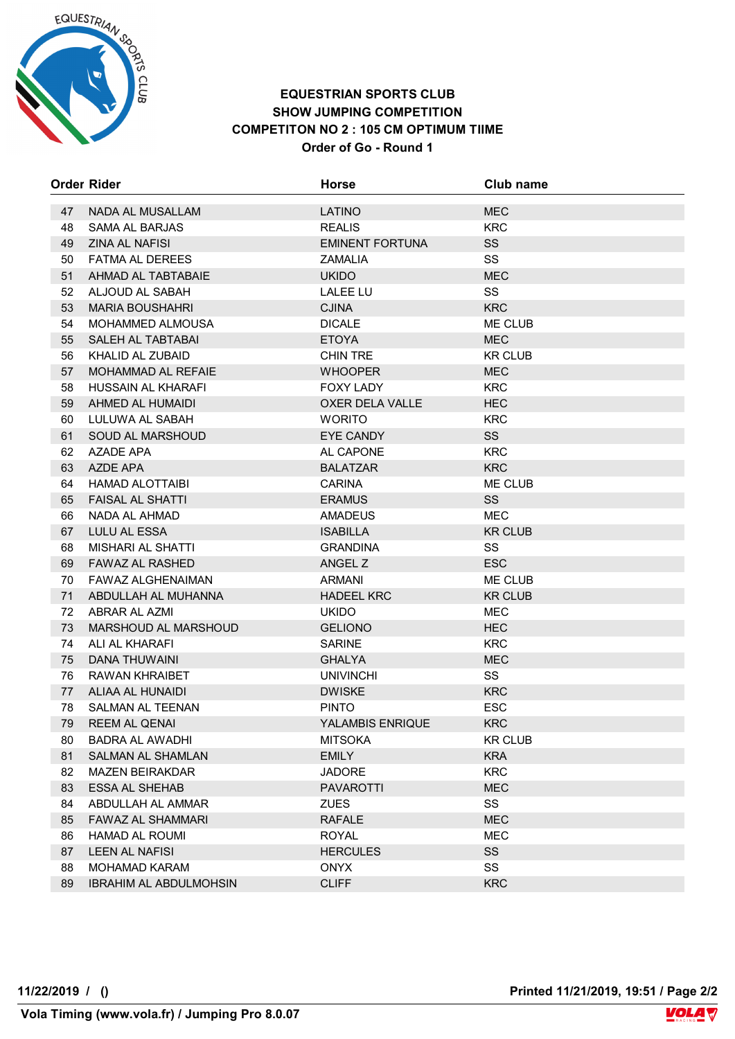

#### **EQUESTRIAN SPORTS CLUB SHOW JUMPING COMPETITION COMPETITON NO 2 : 105 CM OPTIMUM TIIME Order of Go - Round 1**

|    | <b>Order Rider</b>            | <b>Horse</b>            | Club name      |
|----|-------------------------------|-------------------------|----------------|
| 47 | NADA AL MUSALLAM              | <b>LATINO</b>           | <b>MEC</b>     |
| 48 | SAMA AL BARJAS                | <b>REALIS</b>           | <b>KRC</b>     |
| 49 | <b>ZINA AL NAFISI</b>         | <b>EMINENT FORTUNA</b>  | <b>SS</b>      |
| 50 | <b>FATMA AL DEREES</b>        | <b>ZAMALIA</b>          | SS             |
| 51 | AHMAD AL TABTABAIE            | <b>UKIDO</b>            | <b>MEC</b>     |
| 52 | ALJOUD AL SABAH               | <b>LALEE LU</b>         | SS             |
| 53 | <b>MARIA BOUSHAHRI</b>        | <b>CJINA</b>            | <b>KRC</b>     |
| 54 | <b>MOHAMMED ALMOUSA</b>       | <b>DICALE</b>           | ME CLUB        |
| 55 | SALEH AL TABTABAI             | <b>ETOYA</b>            | <b>MEC</b>     |
| 56 | KHALID AL ZUBAID              | <b>CHIN TRE</b>         | <b>KR CLUB</b> |
| 57 | <b>MOHAMMAD AL REFAIE</b>     | <b>WHOOPER</b>          | <b>MEC</b>     |
| 58 | HUSSAIN AL KHARAFI            | <b>FOXY LADY</b>        | <b>KRC</b>     |
| 59 | AHMED AL HUMAIDI              | OXER DELA VALLE         | <b>HEC</b>     |
| 60 | LULUWA AL SABAH               | <b>WORITO</b>           | <b>KRC</b>     |
| 61 | <b>SOUD AL MARSHOUD</b>       | <b>EYE CANDY</b>        | <b>SS</b>      |
| 62 | AZADE APA                     | AL CAPONE               | <b>KRC</b>     |
| 63 | AZDE APA                      | <b>BALATZAR</b>         | <b>KRC</b>     |
| 64 | <b>HAMAD ALOTTAIBI</b>        | <b>CARINA</b>           | ME CLUB        |
| 65 | <b>FAISAL AL SHATTI</b>       | <b>ERAMUS</b>           | SS             |
| 66 | NADA AL AHMAD                 | AMADEUS                 | <b>MEC</b>     |
| 67 | LULU AL ESSA                  | <b>ISABILLA</b>         | <b>KR CLUB</b> |
| 68 | <b>MISHARI AL SHATTI</b>      | <b>GRANDINA</b>         | SS             |
| 69 | <b>FAWAZ AL RASHED</b>        | ANGEL Z                 | <b>ESC</b>     |
| 70 | FAWAZ ALGHENAIMAN             | <b>ARMANI</b>           | ME CLUB        |
| 71 | ABDULLAH AL MUHANNA           | <b>HADEEL KRC</b>       | <b>KR CLUB</b> |
| 72 | ABRAR AL AZMI                 | <b>UKIDO</b>            | <b>MEC</b>     |
| 73 | MARSHOUD AL MARSHOUD          | <b>GELIONO</b>          | <b>HEC</b>     |
| 74 | ALI AL KHARAFI                | <b>SARINE</b>           | <b>KRC</b>     |
| 75 | DANA THUWAINI                 | <b>GHALYA</b>           | <b>MEC</b>     |
| 76 | RAWAN KHRAIBET                | <b>UNIVINCHI</b>        | <b>SS</b>      |
| 77 | ALIAA AL HUNAIDI              | <b>DWISKE</b>           | <b>KRC</b>     |
| 78 | <b>SALMAN AL TEENAN</b>       | <b>PINTO</b>            | <b>ESC</b>     |
| 79 | <b>REEM AL QENAI</b>          | <b>YALAMBIS ENRIQUE</b> | <b>KRC</b>     |
| 80 | <b>BADRA AL AWADHI</b>        | <b>MITSOKA</b>          | <b>KR CLUB</b> |
| 81 | SALMAN AL SHAMLAN             | <b>EMILY</b>            | <b>KRA</b>     |
| 82 | <b>MAZEN BEIRAKDAR</b>        | <b>JADORE</b>           | <b>KRC</b>     |
| 83 | <b>ESSA AL SHEHAB</b>         | <b>PAVAROTTI</b>        | <b>MEC</b>     |
| 84 | ABDULLAH AL AMMAR             | <b>ZUES</b>             | SS             |
| 85 | FAWAZ AL SHAMMARI             | <b>RAFALE</b>           | <b>MEC</b>     |
| 86 | <b>HAMAD AL ROUMI</b>         | <b>ROYAL</b>            | MEC            |
| 87 | LEEN AL NAFISI                | <b>HERCULES</b>         | <b>SS</b>      |
| 88 | <b>MOHAMAD KARAM</b>          | <b>ONYX</b>             | SS             |
| 89 | <b>IBRAHIM AL ABDULMOHSIN</b> | <b>CLIFF</b>            | <b>KRC</b>     |

**11/22/2019 / () Printed 11/21/2019, 19:51 / Page 2/2**

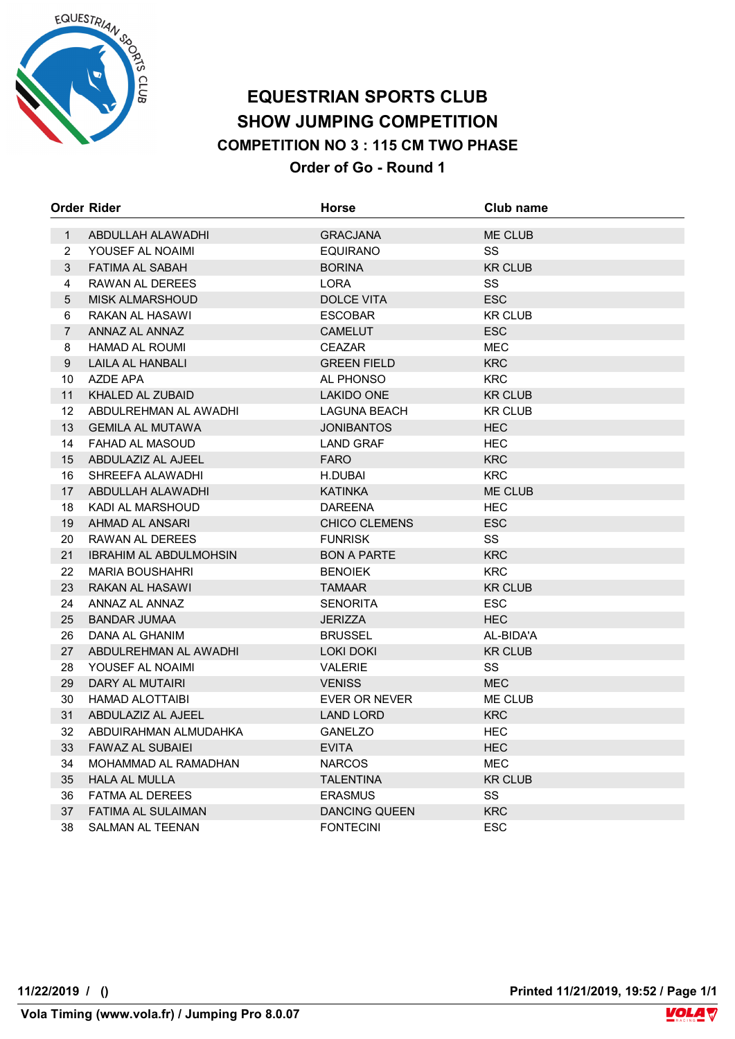

## **EQUESTRIAN SPORTS CLUB SHOW JUMPING COMPETITION COMPETITION NO 3 : 115 CM TWO PHASE Order of Go - Round 1**

|                | Order Rider                   | <b>Horse</b>         | Club name      |
|----------------|-------------------------------|----------------------|----------------|
| $\mathbf{1}$   | ABDULLAH ALAWADHI             | <b>GRACJANA</b>      | <b>ME CLUB</b> |
| 2              | YOUSEF AL NOAIMI              | <b>EQUIRANO</b>      | <b>SS</b>      |
| 3              | FATIMA AL SABAH               | <b>BORINA</b>        | <b>KR CLUB</b> |
| 4              | RAWAN AL DEREES               | LORA                 | SS             |
| 5              | <b>MISK ALMARSHOUD</b>        | <b>DOLCE VITA</b>    | <b>ESC</b>     |
| 6              | RAKAN AL HASAWI               | <b>ESCOBAR</b>       | <b>KR CLUB</b> |
| $\overline{7}$ | ANNAZ AL ANNAZ                | <b>CAMELUT</b>       | <b>ESC</b>     |
| 8              | HAMAD AL ROUMI                | <b>CEAZAR</b>        | <b>MEC</b>     |
| 9              | LAILA AL HANBALI              | <b>GREEN FIELD</b>   | <b>KRC</b>     |
| 10             | AZDE APA                      | AL PHONSO            | <b>KRC</b>     |
| 11             | KHALED AL ZUBAID              | <b>LAKIDO ONE</b>    | <b>KR CLUB</b> |
| 12             | ABDULREHMAN AL AWADHI         | LAGUNA BEACH         | <b>KR CLUB</b> |
| 13             | <b>GEMILA AL MUTAWA</b>       | <b>JONIBANTOS</b>    | <b>HEC</b>     |
| 14             | <b>FAHAD AL MASOUD</b>        | <b>LAND GRAF</b>     | <b>HEC</b>     |
| 15             | ABDULAZIZ AL AJEEL            | <b>FARO</b>          | <b>KRC</b>     |
| 16             | SHREEFA ALAWADHI              | H.DUBAI              | <b>KRC</b>     |
| 17             | ABDULLAH ALAWADHI             | <b>KATINKA</b>       | <b>ME CLUB</b> |
| 18             | KADI AL MARSHOUD              | DAREENA              | <b>HEC</b>     |
| 19             | AHMAD AL ANSARI               | <b>CHICO CLEMENS</b> | <b>ESC</b>     |
| 20             | RAWAN AL DEREES               | <b>FUNRISK</b>       | SS             |
| 21             | <b>IBRAHIM AL ABDULMOHSIN</b> | <b>BON A PARTE</b>   | <b>KRC</b>     |
| 22             | <b>MARIA BOUSHAHRI</b>        | <b>BENOIEK</b>       | <b>KRC</b>     |
| 23             | RAKAN AL HASAWI               | TAMAAR               | <b>KR CLUB</b> |
| 24             | ANNAZ AL ANNAZ                | <b>SENORITA</b>      | <b>ESC</b>     |
| 25             | <b>BANDAR JUMAA</b>           | <b>JERIZZA</b>       | <b>HEC</b>     |
| 26             | DANA AL GHANIM                | <b>BRUSSEL</b>       | AL-BIDA'A      |
| 27             | ABDULREHMAN AL AWADHI         | LOKI DOKI            | <b>KR CLUB</b> |
| 28             | YOUSEF AL NOAIMI              | <b>VALERIE</b>       | SS             |
| 29             | DARY AL MUTAIRI               | <b>VENISS</b>        | <b>MEC</b>     |
| 30             | HAMAD ALOTTAIBI               | <b>EVER OR NEVER</b> | ME CLUB        |
| 31             | ABDULAZIZ AL AJEEL            | <b>LAND LORD</b>     | <b>KRC</b>     |
| 32             | ABDUIRAHMAN ALMUDAHKA         | <b>GANELZO</b>       | <b>HEC</b>     |
| 33             | <b>FAWAZ AL SUBAIEI</b>       | <b>EVITA</b>         | <b>HEC</b>     |
| 34             | MOHAMMAD AL RAMADHAN          | <b>NARCOS</b>        | MEC            |
| 35             | <b>HALA AL MULLA</b>          | TALENTINA            | <b>KR CLUB</b> |
| 36             | <b>FATMA AL DEREES</b>        | <b>ERASMUS</b>       | SS             |
| 37             | FATIMA AL SULAIMAN            | <b>DANCING QUEEN</b> | <b>KRC</b>     |
| 38             | <b>SALMAN AL TEENAN</b>       | <b>FONTECINI</b>     | <b>ESC</b>     |

**11/22/2019 / () Printed 11/21/2019, 19:52 / Page 1/1**

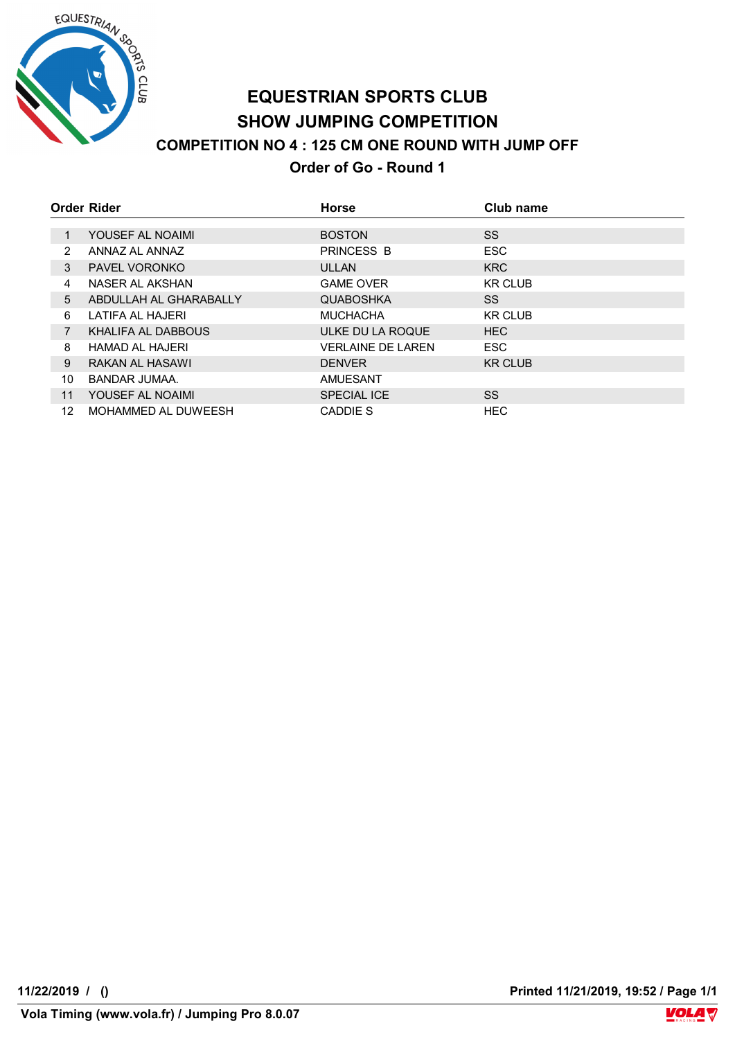

# **EQUESTRIAN SPORTS CLUB SHOW JUMPING COMPETITION COMPETITION NO 4 : 125 CM ONE ROUND WITH JUMP OFF Order of Go - Round 1**

|                 | Order Rider            | <b>Horse</b>             | Club name      |
|-----------------|------------------------|--------------------------|----------------|
|                 |                        |                          |                |
|                 | YOUSEF AL NOAIMI       | <b>BOSTON</b>            | SS.            |
| 2               | ANNAZ AL ANNAZ         | PRINCESS B               | <b>ESC</b>     |
| 3               | <b>PAVEL VORONKO</b>   | <b>ULLAN</b>             | <b>KRC</b>     |
| 4               | NASER AL AKSHAN        | <b>GAME OVER</b>         | <b>KR CLUB</b> |
| 5               | ABDULLAH AL GHARABALLY | <b>QUABOSHKA</b>         | SS.            |
| 6               | LATIFA AL HAJERI       | <b>MUCHACHA</b>          | <b>KR CLUB</b> |
| $\overline{7}$  | KHALIFA AL DABBOUS     | ULKE DU LA ROQUE         | <b>HEC</b>     |
| 8               | <b>HAMAD AL HAJERI</b> | <b>VERLAINE DE LAREN</b> | <b>ESC</b>     |
| 9               | RAKAN AL HASAWI        | <b>DENVER</b>            | <b>KR CLUB</b> |
| 10              | BANDAR JUMAA.          | AMUESANT                 |                |
| 11              | YOUSEF AL NOAIMI       | <b>SPECIAL ICE</b>       | <b>SS</b>      |
| 12 <sup>°</sup> | MOHAMMED AL DUWEESH    | CADDIE S                 | <b>HEC</b>     |

**11/22/2019 / () Printed 11/21/2019, 19:52 / Page 1/1**